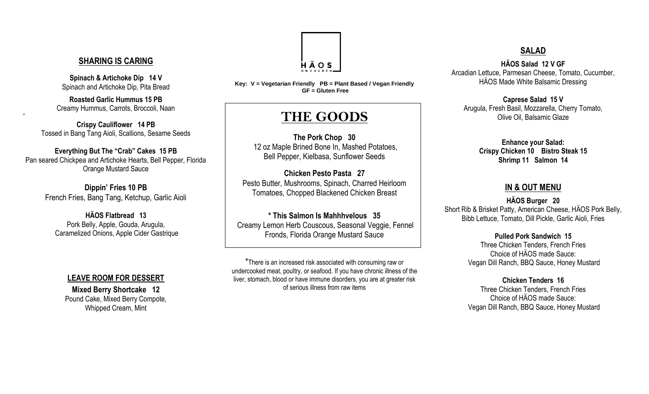#### **SHARING IS CARING**

**Spinach & Artichoke Dip 14 V** Spinach and Artichoke Dip, Pita Bread

**Roasted Garlic Hummus 15 PB** Creamy Hummus, Carrots, Broccoli, Naan

**=**

**Crispy Cauliflower 14 PB**  Tossed in Bang Tang Aioli, Scallions, Sesame Seeds

#### **Everything But The "Crab" Cakes 15 PB**

Pan seared Chickpea and Artichoke Hearts, Bell Pepper, Florida Orange Mustard Sauce

> **Dippin' Fries 10 PB** French Fries, Bang Tang, Ketchup, Garlic Aioli

**HÄOS Flatbread 13** Pork Belly, Apple, Gouda, Arugula, Caramelized Onions, Apple Cider Gastrique

#### **LEAVE ROOM FOR DESSERT**

**Mixed Berry Shortcake 12** Pound Cake, Mixed Berry Compote, Whipped Cream, Mint



**Key: V = Vegetarian Friendly PB = Plant Based / Vegan Friendly GF = Gluten Free**

# **THE GOODS**

**The Pork Chop 30** 12 oz Maple Brined Bone In, Mashed Potatoes, Bell Pepper, Kielbasa, Sunflower Seeds

**Chicken Pesto Pasta 27** Pesto Butter, Mushrooms, Spinach, Charred Heirloom Tomatoes, Chopped Blackened Chicken Breast

**\* This Salmon Is Mahhhvelous 35** Creamy Lemon Herb Couscous, Seasonal Veggie, Fennel Fronds, Florida Orange Mustard Sauce

\*There is an increased risk associated with consuming raw or undercooked meat, poultry, or seafood. If you have chronic illness of the liver, stomach, blood or have immune disorders, you are at greater risk of serious illness from raw items

## **SALAD**

**HÄOS Salad 12 V GF** Arcadian Lettuce, Parmesan Cheese, Tomato, Cucumber, HÄOS Made White Balsamic Dressing

**Caprese Salad 15 V**  Arugula, Fresh Basil, Mozzarella, Cherry Tomato, Olive Oil, Balsamic Glaze

> **Enhance your Salad: Crispy Chicken 10 Bistro Steak 15 Shrimp 11 Salmon 14**

### **IN & OUT MENU**

**HÄOS Burger 20** Short Rib & Brisket Patty, American Cheese, HÄOS Pork Belly, Bibb Lettuce, Tomato, Dill Pickle, Garlic Aioli, Fries

> **Pulled Pork Sandwich 15** Three Chicken Tenders, French Fries Choice of HÄOS made Sauce: Vegan Dill Ranch, BBQ Sauce, Honey Mustard

> **Chicken Tenders 16** Three Chicken Tenders, French Fries Choice of HÄOS made Sauce: Vegan Dill Ranch, BBQ Sauce, Honey Mustard